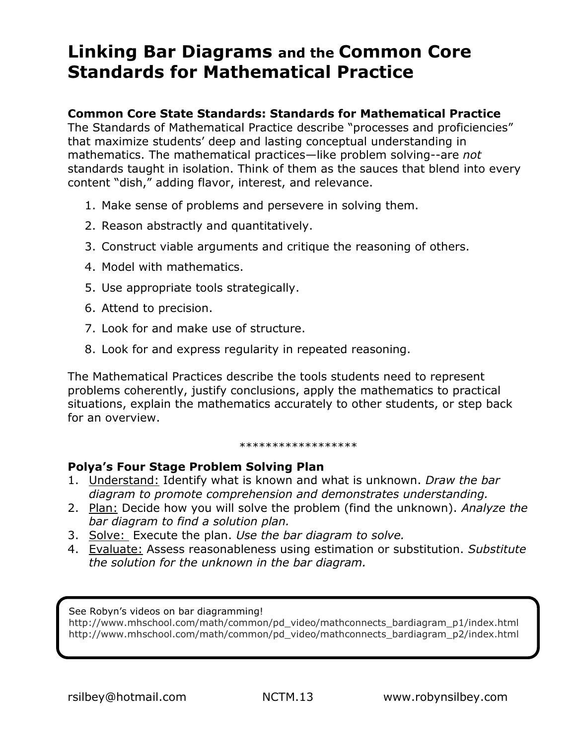## **Linking Bar Diagrams and the Common Core Standards for Mathematical Practice**

## **Common Core State Standards: Standards for Mathematical Practice**

The Standards of Mathematical Practice describe "processes and proficiencies" that maximize students' deep and lasting conceptual understanding in mathematics. The mathematical practices—like problem solving--are *not*  standards taught in isolation. Think of them as the sauces that blend into every content "dish," adding flavor, interest, and relevance.

- 1. Make sense of problems and persevere in solving them.
- 2. Reason abstractly and quantitatively.
- 3. Construct viable arguments and critique the reasoning of others.
- 4. Model with mathematics.
- 5. Use appropriate tools strategically.
- 6. Attend to precision.
- 7. Look for and make use of structure.
- 8. Look for and express regularity in repeated reasoning.

The Mathematical Practices describe the tools students need to represent problems coherently, justify conclusions, apply the mathematics to practical situations, explain the mathematics accurately to other students, or step back for an overview.

## \*\*\*\*\*\*\*\*\*\*\*\*\*\*\*\*

## **Polya's Four Stage Problem Solving Plan**

- 1. Understand: Identify what is known and what is unknown. *Draw the bar diagram to promote comprehension and demonstrates understanding.*
- 2. Plan: Decide how you will solve the problem (find the unknown). *Analyze the bar diagram to find a solution plan.*
- 3. Solve: Execute the plan. *Use the bar diagram to solve.*
- 4. Evaluate: Assess reasonableness using estimation or substitution. *Substitute the solution for the unknown in the bar diagram.*

See Robyn's videos on bar diagramming!

http://www.mhschool.com/math/common/pd\_video/mathconnects\_bardiagram\_p1/index.html http://www.mhschool.com/math/common/pd\_video/mathconnects\_bardiagram\_p2/index.html